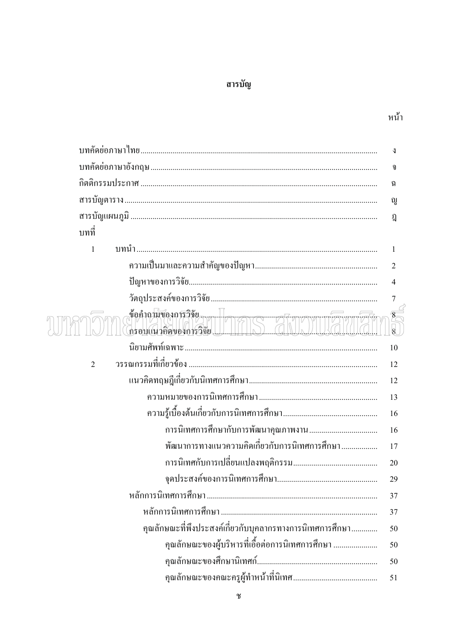## สารบัญ

|                                                            | ⇃                   |
|------------------------------------------------------------|---------------------|
|                                                            | จ                   |
|                                                            | ฉ                   |
|                                                            | ល្ហ                 |
|                                                            | ฎิ                  |
| บทที่                                                      |                     |
| $\mathbf{1}$                                               | 1                   |
|                                                            | $\overline{2}$      |
|                                                            | 4                   |
|                                                            | $\sqrt{ }$          |
| ช้อคำถนับองการวิจัย<br>กรอบแนวคิดของการวิจัย               | 8<br>$\overline{8}$ |
|                                                            | 10                  |
| $\overline{2}$                                             | 12                  |
|                                                            | 12                  |
|                                                            | 13                  |
|                                                            | 16                  |
|                                                            | 16                  |
| พัฒนาการทางแนวความคิดเกี่ยวกับการนิเทศการศึกษา             | 17                  |
|                                                            | 20                  |
|                                                            | 29                  |
|                                                            | 37                  |
|                                                            | 37                  |
| ้คุณลักษณะที่พึงประสงค์เกี่ยวกับบุคลากรทางการนิเทศการศึกษา | 50                  |
| คุณลักษณะของผู้บริหารที่เอื้อต่อการนิเทศการศึกษา           | 50                  |
|                                                            | 50                  |
|                                                            | 51                  |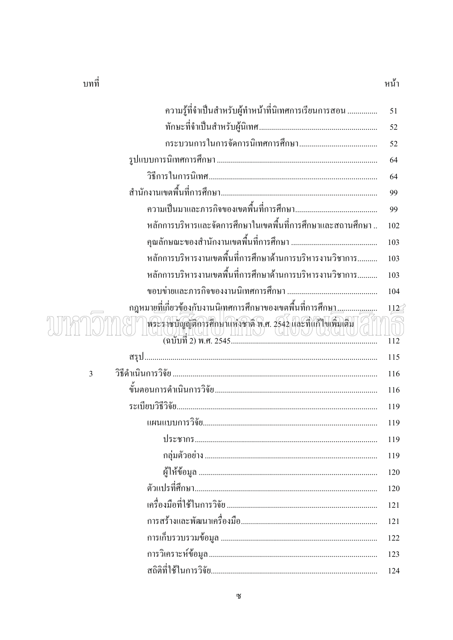| บทท |  |
|-----|--|
|     |  |

| ۰. |  |
|----|--|
|    |  |
|    |  |

| ความรู้ที่จำเป็นสำหรับผู้ทำหน้าที่นิเทศการเรียนการสอน                                                                                                                                                                                                                                                                                                                                                               | 51               |
|---------------------------------------------------------------------------------------------------------------------------------------------------------------------------------------------------------------------------------------------------------------------------------------------------------------------------------------------------------------------------------------------------------------------|------------------|
|                                                                                                                                                                                                                                                                                                                                                                                                                     | 52               |
|                                                                                                                                                                                                                                                                                                                                                                                                                     | 52               |
|                                                                                                                                                                                                                                                                                                                                                                                                                     | 64               |
|                                                                                                                                                                                                                                                                                                                                                                                                                     | 64               |
|                                                                                                                                                                                                                                                                                                                                                                                                                     | 99               |
|                                                                                                                                                                                                                                                                                                                                                                                                                     | 99               |
| หลักการบริหารและจัดการศึกษาในเขตพื้นที่การศึกษาและสถานศึกษา                                                                                                                                                                                                                                                                                                                                                         | 102              |
|                                                                                                                                                                                                                                                                                                                                                                                                                     | 103              |
| หลักการบริหารงานเขตพื้นที่การศึกษาด้านการบริหารงานวิชาการ                                                                                                                                                                                                                                                                                                                                                           | 103              |
| หลักการบริหารงานเขตพื้นที่การศึกษาด้านการบริหารงานวิชาการ                                                                                                                                                                                                                                                                                                                                                           | 103              |
|                                                                                                                                                                                                                                                                                                                                                                                                                     | 104              |
| ึกฎหมา <u>ยที่เ</u> กี่ยวข้ <u>อง</u> กับงานนิเทศการศึกษาของเขตพื้นที่การศึกษ <u>า</u> <u></u>                                                                                                                                                                                                                                                                                                                      | 112 <sup>°</sup> |
| พระราชบัญญัติการศึกษาแห่งชาติ พ.ศ. 2542 และที่แก้ไฟเพิ่มเติม<br>$\begin{picture}(150,10) \put(0,0){\line(1,0){15}} \put(15,0){\line(1,0){15}} \put(15,0){\line(1,0){15}} \put(15,0){\line(1,0){15}} \put(15,0){\line(1,0){15}} \put(15,0){\line(1,0){15}} \put(15,0){\line(1,0){15}} \put(15,0){\line(1,0){15}} \put(15,0){\line(1,0){15}} \put(15,0){\line(1,0){15}} \put(15,0){\line(1,0){15}} \put(15,0){\line($ | 112              |
|                                                                                                                                                                                                                                                                                                                                                                                                                     | 115              |
| $\overline{3}$                                                                                                                                                                                                                                                                                                                                                                                                      | 116              |
|                                                                                                                                                                                                                                                                                                                                                                                                                     | 116              |
|                                                                                                                                                                                                                                                                                                                                                                                                                     | 119              |
|                                                                                                                                                                                                                                                                                                                                                                                                                     | 119              |
|                                                                                                                                                                                                                                                                                                                                                                                                                     | 119              |
|                                                                                                                                                                                                                                                                                                                                                                                                                     | 119              |
|                                                                                                                                                                                                                                                                                                                                                                                                                     | 120              |
|                                                                                                                                                                                                                                                                                                                                                                                                                     | 120              |
|                                                                                                                                                                                                                                                                                                                                                                                                                     | 121              |
|                                                                                                                                                                                                                                                                                                                                                                                                                     | 121              |
|                                                                                                                                                                                                                                                                                                                                                                                                                     | 122              |
|                                                                                                                                                                                                                                                                                                                                                                                                                     | 123              |
|                                                                                                                                                                                                                                                                                                                                                                                                                     | 124              |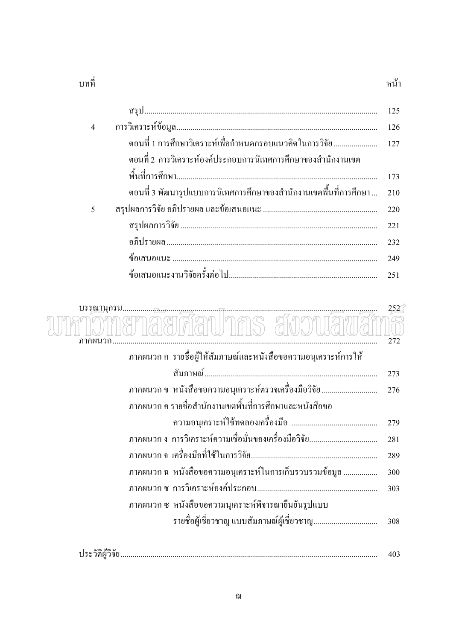| ועועור |  |
|--------|--|
|        |  |

|                |                                                                           | 125 |
|----------------|---------------------------------------------------------------------------|-----|
| $\overline{4}$ |                                                                           | 126 |
|                |                                                                           |     |
|                | ี ตอนที่ 2 การวิเคราะห์องค์ประกอบการนิเทศการศึกษาของสำนักงานเขต           |     |
|                |                                                                           | 173 |
|                | ตอนที่ 3 พัฒนารูปแบบการนิเทศการศึกษาของสำนักงานเขตพื้นที่การศึกษา     210 |     |
| $\overline{5}$ |                                                                           | 220 |
|                |                                                                           | 221 |
|                |                                                                           | 232 |
|                |                                                                           | 249 |
|                |                                                                           |     |

หน้า

| บรรณานกรม.<br>ภาคผนวก                                             | $252^{\circ}$<br>272 |
|-------------------------------------------------------------------|----------------------|
| ิภาคผนวก ก  รายชื่อผู้ให้สัมภาษณ์และหนังสือขอความอนุเคราะห์การให้ |                      |
|                                                                   | 273                  |
| ้ภาคผนวก ข  หนังสือขอความอนุเคราะห์ตรวจเครื่องมือวิจัย            | 276                  |
| ิภาคผนวก ค รายชื่อสำนักงานเขตพื้นที่การศึกษาและหนังสือขอ          |                      |
|                                                                   | 279                  |
|                                                                   | 281                  |
|                                                                   | 289                  |
| ้ภาคผนวก ฉ  หนังสือขอความอนุเคราะห์ในการเกี่บรวบรวมข้อมูล         | 300                  |
|                                                                   | 303                  |
| ภาคผนวก ซ หนังสือขอความนุเคราะห์พิจารณายืนยันรูปแบบ               |                      |
|                                                                   | 308                  |
|                                                                   |                      |

| ഗ ഈ ഗ |     |
|-------|-----|
|       |     |
|       | TV- |
|       |     |
|       |     |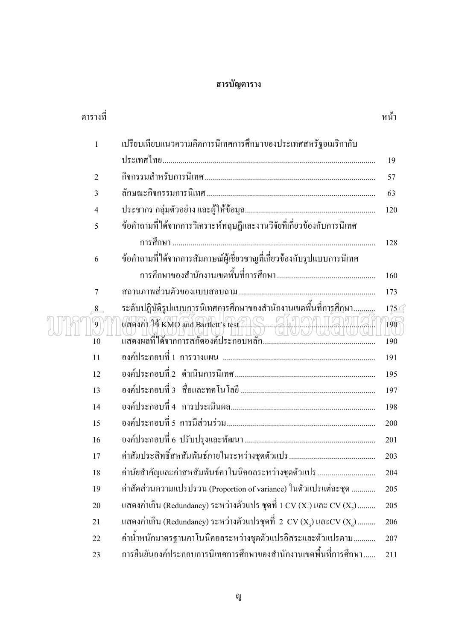## สารบัญตาราง

| ตารางที่       |                                                                                             | หน้า         |
|----------------|---------------------------------------------------------------------------------------------|--------------|
| $\mathbf{1}$   | เปรียบเทียบแนวความคิดการนิเทศการศึกษาของประเทศสหรัฐอเมริกากับ                               |              |
|                |                                                                                             | 19           |
| $\overline{2}$ |                                                                                             | 57           |
| 3              |                                                                                             | 63           |
| 4              |                                                                                             | 120          |
| 5              | ข้อคำถามที่ได้จากการวิเคราะห์ทฤษฎีและงานวิจัยที่เกี่ยวข้องกับการนิเทศ                       |              |
|                |                                                                                             | 128          |
| 6              | ข้อคำถามที่ได้จากการสัมภาษณ์ผู้เชี่ยวชาญที่เกี่ยวข้องกับรูปแบบการนิเทศ                      |              |
|                |                                                                                             | 160          |
| 7              |                                                                                             | 173          |
| 8              | ระดับปฏิ <u>ษัติรู</u> ปแบ <u>บก</u> ารนิเทศการศึกษาของสำนักงานเขตพื้นที่กา <u>รศึก</u> ษา, | $175 \leq$   |
| $\mathfrak{g}$ | WKUNTUNGI                                                                                   | $\sqrt{190}$ |
| 10             |                                                                                             | 190          |
| 11             |                                                                                             | 191          |
| 12             |                                                                                             | 195          |
| 13             |                                                                                             | 197          |
| 14             |                                                                                             | 198          |
| 15             |                                                                                             | 200          |
| 16             |                                                                                             | 201          |
| 17             |                                                                                             | 203          |
| 18             | ้ค่านัยสำคัญและค่าสหสัมพันธ์คาโนนิคอลระหว่างชุดตัวแปร                                       | 204          |
| 19             | ค่าสัดส่วนความแปรปรวน (Proportion of variance) ในตัวแปรแต่ละชุด                             | 205          |
| 20             | แสดงค่าเกิน (Redundancy) ระหว่างตัวแปร ชุดที่ 1 CV (X,) และ CV (X,)                         | 205          |
| 21             | แสดงค่าเกิน (Redundancy) ระหว่างตัวแปรชุดที่ 2 CV (X,) และCV (X,)                           | 206          |
| 22             | ้ค่าน้ำหนักมาตรฐานคาโนนิคอลระหว่างชุดตัวแปรอิสระและตัวแปรตาม                                | 207          |
| 23             | การยืนยันองค์ประกอบการนิเทศการศึกษาของสำนักงานเขตพื้นที่การศึกษา                            | 211          |